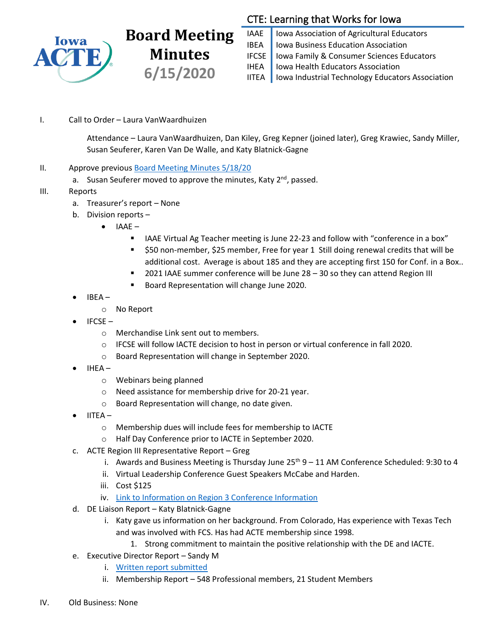

## **Board Meeting Minutes 6/15/2020**

## CTE: Learning that Works for Iowa

IAAE | Iowa Association of Agricultural Educators IBEA | Iowa Business Education Association IFCSE Iowa Family & Consumer Sciences Educators IHEA | Iowa Health Educators Association IITEA | Iowa Industrial Technology Educators Association

I. Call to Order – Laura VanWaardhuizen

Attendance – Laura VanWaardhuizen, Dan Kiley, Greg Kepner (joined later), Greg Krawiec, Sandy Miller, Susan Seuferer, Karen Van De Walle, and Katy Blatnick-Gagne

- II. Approve previous [Board Meeting Minutes 5/18/20](https://drive.google.com/file/d/1Hxkj0tjGj-djdh78BpbOv3ktH127aC3X/view?usp=sharing)
	- a. Susan Seuferer moved to approve the minutes, Katy 2<sup>nd</sup>, passed.
- III. Reports
	- a. Treasurer's report None
	- b. Division reports
		- IAAE
			- IAAE Virtual Ag Teacher meeting is June 22-23 and follow with "conference in a box"
			- \$50 non-member, \$25 member, Free for year 1 Still doing renewal credits that will be additional cost. Average is about 185 and they are accepting first 150 for Conf. in a Box..
			- 2021 IAAE summer conference will be June 28 30 so they can attend Region III
			- Board Representation will change June 2020.
	- IBEA
		- o No Report
	- IFCSE
		- o Merchandise Link sent out to members.
		- o IFCSE will follow IACTE decision to host in person or virtual conference in fall 2020.
		- o Board Representation will change in September 2020.
	- IHEA
		- o Webinars being planned
		- o Need assistance for membership drive for 20-21 year.
		- o Board Representation will change, no date given.
	- IITEA
		- o Membership dues will include fees for membership to IACTE
		- o Half Day Conference prior to IACTE in September 2020.
	- c. ACTE Region III Representative Report Greg
		- i. Awards and Business Meeting is Thursday June  $25<sup>th</sup> 9 11$  AM Conference Scheduled: 9:30 to 4
		- ii. Virtual Leadership Conference Guest Speakers McCabe and Harden.
		- iii. Cost \$125
		- iv. [Link to Information on Region 3 Conference Information](https://www.acteonline.org/region-page/region-iii-workshops-and-conferences/)
	- d. DE Liaison Report Katy Blatnick-Gagne
		- i. Katy gave us information on her background. From Colorado, Has experience with Texas Tech and was involved with FCS. Has had ACTE membership since 1998.
			- 1. Strong commitment to maintain the positive relationship with the DE and IACTE.
	- e. Executive Director Report Sandy M
		- i. [Written report submitted](https://drive.google.com/file/d/1WvICtbGuv22ClSYvr9VqFTYkA_kcO_9W/view?usp=sharing)
		- ii. Membership Report 548 Professional members, 21 Student Members
- IV. Old Business: None